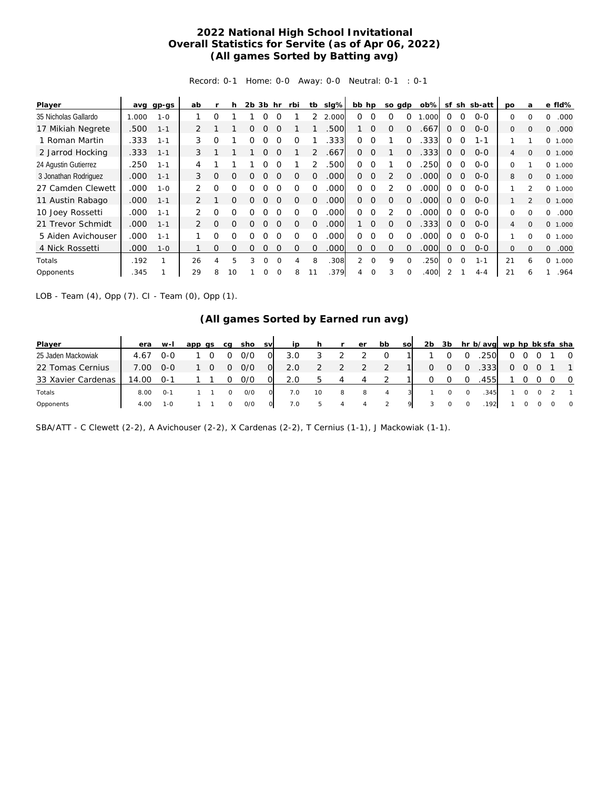## **2022 National High School Invitational Overall Statistics for Servite (as of Apr 06, 2022) (All games Sorted by Batting avg)**

Record: 0-1 Home: 0-0 Away: 0-0 Neutral: 0-1 : 0-1

| Player               | avg   | gp-gs   | ab            |          | h        | $2b$ $3b$ |          | hr       | rbi      | tb       | slg%  | bb hp    |                | so gdp   |          | $ob\%$ | sf       |                | sh sb-att | po       | a            |          | e fld%  |
|----------------------|-------|---------|---------------|----------|----------|-----------|----------|----------|----------|----------|-------|----------|----------------|----------|----------|--------|----------|----------------|-----------|----------|--------------|----------|---------|
| 35 Nicholas Gallardo | 1.000 | $1 - 0$ |               | 0        |          |           |          |          |          |          | 2.000 | 0        | $\Omega$       | $\Omega$ | $\Omega$ | .000   | $\Omega$ | $\Omega$       | $0 - 0$   | 0        | $\Omega$     | 0        | .000    |
| 17 Mikiah Negrete    | .500  | $1 - 1$ | 2             |          |          | 0         | O        | $\Omega$ |          |          | .500  |          | $\Omega$       | $\Omega$ | $\Omega$ | .667   | $\Omega$ | $\overline{0}$ | $0 - 0$   | 0        | $\Omega$     | 0        | .000    |
| 1 Roman Martin       | .333  | $1 - 1$ | 3             | O        |          | 0         |          | $\Omega$ | $\Omega$ |          | .333  | 0        | $\Omega$       |          | $\Omega$ | 333.   | $\Omega$ | $\Omega$       | $1 - 1$   |          |              | 0        | 1.000   |
| 2 Jarrod Hocking     | .333  | $1 - 1$ | 3             |          |          |           | Ο        | $\Omega$ |          |          | .667  | $\Omega$ | $\Omega$       |          | $\Omega$ | .333   | $\Omega$ | $\overline{0}$ | $0 - 0$   | 4        | $\Omega$     |          | 0 1.000 |
| 24 Agustin Gutierrez | .250  | $1 - 1$ | 4             |          |          |           |          |          |          |          | .500  | $\Omega$ | $\Omega$       |          | $\Omega$ | 250    | ∩        | $\Omega$       | $0 - 0$   | 0        |              | $\Omega$ | 1.000   |
| 3 Jonathan Rodriguez | .000  | $1 - 1$ | 3             | O        | $\Omega$ | ი         |          | $\Omega$ | O        | $\Omega$ | .000  | $\Omega$ | $\overline{0}$ | 2        | $\Omega$ | .000   | $\Omega$ | $\overline{0}$ | $O - O$   | 8        | $\mathbf{O}$ |          | 0 1.000 |
| 27 Camden Clewett    | .000  | $1 - 0$ | 2             | 0        | O        | Ω         |          |          | ∩        |          | .000  | 0        | $\Omega$       |          | O        | .000   | ∩        | $\Omega$       | $O - O$   | 1        | フ            | 0        | 1.000   |
| 11 Austin Rabago     | .000  | $1 - 1$ | 2             |          | $\Omega$ | 0         |          | $\Omega$ | $\Omega$ | $\Omega$ | .000  | $\Omega$ | $\Omega$       | $\Omega$ | $\Omega$ | .000   | $\Omega$ | $\Omega$       | $0 - 0$   |          |              |          | 0 1.000 |
| 10 Joey Rossetti     | .000  | $1 - 1$ | $\mathcal{P}$ | $\Omega$ | O        | ∩         |          | $\Omega$ | ∩        | $\Omega$ | .000  | 0        | $\Omega$       | 2        | $\Omega$ | .000   | $\Omega$ | $\Omega$       | $0 - 0$   | 0        | $\Omega$     | 0        | .000    |
| 21 Trevor Schmidt    | .000  | $1 - 1$ | 2             | O        | $\Omega$ | 0         | 0        | $\Omega$ | $\Omega$ | $\Omega$ | .000  |          | $\Omega$       | $\Omega$ | $\Omega$ | .333   | $\Omega$ | $\mathbf 0$    | $0 - 0$   | 4        | $\Omega$     |          | 0 1.000 |
| 5 Aiden Avichouser   | .000  | $1 - 1$ |               | Ω        | O        | O         |          | $\Omega$ | O        | $\Omega$ | .000  | 0        | $\Omega$       | $\Omega$ | $\Omega$ | .000   | $\Omega$ | $\Omega$       | $0 - 0$   |          | $\Omega$     | 0        | 1.000   |
| 4 Nick Rossetti      | .000  | $1 - 0$ |               | 0        | $\Omega$ | 0         | 0        | $\Omega$ | $\Omega$ | $\Omega$ | .000  | $\Omega$ | $\mathbf 0$    | $\Omega$ | $\Omega$ | .000   | $\Omega$ | $\Omega$       | $0 - 0$   | $\Omega$ | $\Omega$     | 0        | .000    |
| Totals               | .192  |         | 26            | 4        | 5        | 3         | $\Omega$ | $\Omega$ | 4        | 8        | .308  | 2        | $\Omega$       | 9        | $\Omega$ | .250   | $\Omega$ | $\Omega$       | $1 - 1$   | 21       | 6            | 0        | 1.000   |
| Opponents            | .345  |         | 29            | 8        | 10       |           | 0        |          | 8        |          | 379   |          |                | 3        |          | .400   |          |                | $4 - 4$   | 21       | 6            |          | .964    |

LOB - Team (4), Opp (7). CI - Team (0), Opp (1).

## **(All games Sorted by Earned run avg)**

| Player             | era   | $W-I$        | app qs | ca | sho | <b>SV</b> | ip  |    |   | er | bb       | <b>SO</b> | 2 <sub>b</sub> | 3b |   | hr b/avg wp hp bk sfa sha |                |  |                |
|--------------------|-------|--------------|--------|----|-----|-----------|-----|----|---|----|----------|-----------|----------------|----|---|---------------------------|----------------|--|----------------|
| 25 Jaden Mackowiak | 4.67  | O-O          |        |    | 0/0 | 0         | 3.0 |    |   |    | $\Omega$ |           |                |    |   | .250                      | 0              |  | $\overline{O}$ |
| 22 Tomas Cernius   | 7.00  | $O-O$        |        |    | 0/0 | 0         | 2.0 |    |   |    |          |           | 0              | O  |   | .333                      | $\overline{O}$ |  | $\overline{1}$ |
| 33 Xavier Cardenas | 14.00 | -0-1         |        |    | 0/0 | $\Omega$  | 2.0 |    | 4 |    |          |           |                |    |   | 455                       |                |  | $\circ$        |
| Totals             | 8.00  | $O - 1$      |        |    | O/O |           | 7.0 | 10 | 8 | 8  | 4        |           |                | 0  | 0 | .345                      |                |  | $\overline{1}$ |
| Opponents          | 4.00  | $1 - \Omega$ |        |    | O/O | O         | 7.0 | b. | 4 | 4  |          | Q.        |                | 0  | 0 | 192                       |                |  | $\circ$        |

SBA/ATT - C Clewett (2-2), A Avichouser (2-2), X Cardenas (2-2), T Cernius (1-1), J Mackowiak (1-1).